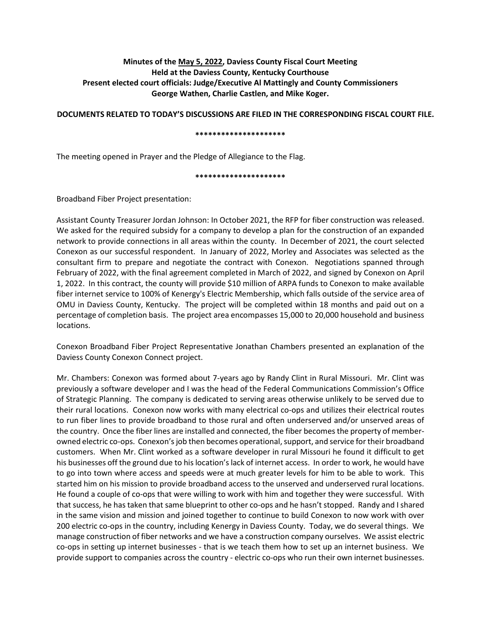# **Minutes of the May 5, 2022, Daviess County Fiscal Court Meeting Held at the Daviess County, Kentucky Courthouse Present elected court officials: Judge/Executive Al Mattingly and County Commissioners George Wathen, Charlie Castlen, and Mike Koger.**

**DOCUMENTS RELATED TO TODAY'S DISCUSSIONS ARE FILED IN THE CORRESPONDING FISCAL COURT FILE.**

#### **\*\*\*\*\*\*\*\*\*\*\*\*\*\*\*\*\*\*\*\*\***

The meeting opened in Prayer and the Pledge of Allegiance to the Flag.

**\*\*\*\*\*\*\*\*\*\*\*\*\*\*\*\*\*\*\*\*\***

Broadband Fiber Project presentation:

Assistant County Treasurer Jordan Johnson: In October 2021, the RFP for fiber construction was released. We asked for the required subsidy for a company to develop a plan for the construction of an expanded network to provide connections in all areas within the county. In December of 2021, the court selected Conexon as our successful respondent. In January of 2022, Morley and Associates was selected as the consultant firm to prepare and negotiate the contract with Conexon. Negotiations spanned through February of 2022, with the final agreement completed in March of 2022, and signed by Conexon on April 1, 2022. In this contract, the county will provide \$10 million of ARPA funds to Conexon to make available fiber internet service to 100% of Kenergy's Electric Membership, which falls outside of the service area of OMU in Daviess County, Kentucky. The project will be completed within 18 months and paid out on a percentage of completion basis. The project area encompasses 15,000 to 20,000 household and business locations.

Conexon Broadband Fiber Project Representative Jonathan Chambers presented an explanation of the Daviess County Conexon Connect project.

Mr. Chambers: Conexon was formed about 7-years ago by Randy Clint in Rural Missouri. Mr. Clint was previously a software developer and I was the head of the Federal Communications Commission's Office of Strategic Planning. The company is dedicated to serving areas otherwise unlikely to be served due to their rural locations. Conexon now works with many electrical co-ops and utilizes their electrical routes to run fiber lines to provide broadband to those rural and often underserved and/or unserved areas of the country. Once the fiber lines are installed and connected, the fiber becomes the property of memberowned electric co-ops. Conexon's job then becomes operational,support, and service for their broadband customers. When Mr. Clint worked as a software developer in rural Missouri he found it difficult to get his businesses off the ground due to his location's lack of internet access. In order to work, he would have to go into town where access and speeds were at much greater levels for him to be able to work. This started him on his mission to provide broadband access to the unserved and underserved rural locations. He found a couple of co-ops that were willing to work with him and together they were successful. With that success, he has taken that same blueprint to other co-ops and he hasn't stopped. Randy and I shared in the same vision and mission and joined together to continue to build Conexon to now work with over 200 electric co-ops in the country, including Kenergy in Daviess County. Today, we do several things. We manage construction of fiber networks and we have a construction company ourselves. We assist electric co-ops in setting up internet businesses - that is we teach them how to set up an internet business. We provide support to companies across the country - electric co-ops who run their own internet businesses.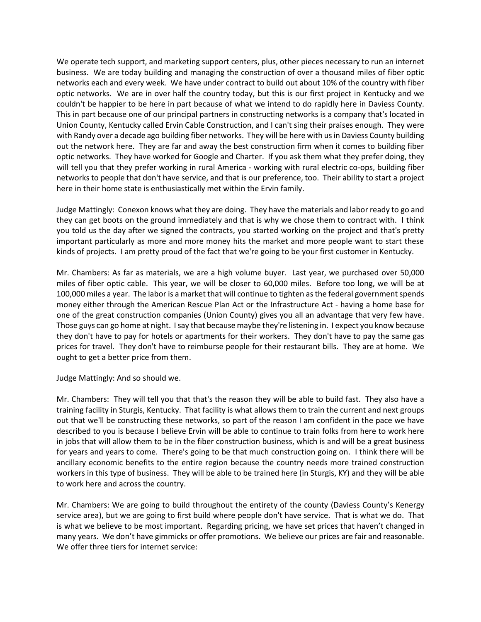We operate tech support, and marketing support centers, plus, other pieces necessary to run an internet business. We are today building and managing the construction of over a thousand miles of fiber optic networks each and every week. We have under contract to build out about 10% of the country with fiber optic networks. We are in over half the country today, but this is our first project in Kentucky and we couldn't be happier to be here in part because of what we intend to do rapidly here in Daviess County. This in part because one of our principal partners in constructing networks is a company that's located in Union County, Kentucky called Ervin Cable Construction, and I can't sing their praises enough. They were with Randy over a decade ago building fiber networks. They will be here with us in Daviess County building out the network here. They are far and away the best construction firm when it comes to building fiber optic networks. They have worked for Google and Charter. If you ask them what they prefer doing, they will tell you that they prefer working in rural America - working with rural electric co-ops, building fiber networks to people that don't have service, and that is our preference, too. Their ability to start a project here in their home state is enthusiastically met within the Ervin family.

Judge Mattingly: Conexon knows what they are doing. They have the materials and labor ready to go and they can get boots on the ground immediately and that is why we chose them to contract with. I think you told us the day after we signed the contracts, you started working on the project and that's pretty important particularly as more and more money hits the market and more people want to start these kinds of projects. I am pretty proud of the fact that we're going to be your first customer in Kentucky.

Mr. Chambers: As far as materials, we are a high volume buyer. Last year, we purchased over 50,000 miles of fiber optic cable. This year, we will be closer to 60,000 miles. Before too long, we will be at 100,000 miles a year. The labor is a market that will continue to tighten as the federal government spends money either through the American Rescue Plan Act or the Infrastructure Act - having a home base for one of the great construction companies (Union County) gives you all an advantage that very few have. Those guys can go home at night. I say that because maybe they're listening in. I expect you know because they don't have to pay for hotels or apartments for their workers. They don't have to pay the same gas prices for travel. They don't have to reimburse people for their restaurant bills. They are at home. We ought to get a better price from them.

Judge Mattingly: And so should we.

Mr. Chambers: They will tell you that that's the reason they will be able to build fast. They also have a training facility in Sturgis, Kentucky. That facility is what allows them to train the current and next groups out that we'll be constructing these networks, so part of the reason I am confident in the pace we have described to you is because I believe Ervin will be able to continue to train folks from here to work here in jobs that will allow them to be in the fiber construction business, which is and will be a great business for years and years to come. There's going to be that much construction going on. I think there will be ancillary economic benefits to the entire region because the country needs more trained construction workers in this type of business. They will be able to be trained here (in Sturgis, KY) and they will be able to work here and across the country.

Mr. Chambers: We are going to build throughout the entirety of the county (Daviess County's Kenergy service area), but we are going to first build where people don't have service. That is what we do. That is what we believe to be most important. Regarding pricing, we have set prices that haven't changed in many years. We don't have gimmicks or offer promotions. We believe our prices are fair and reasonable. We offer three tiers for internet service: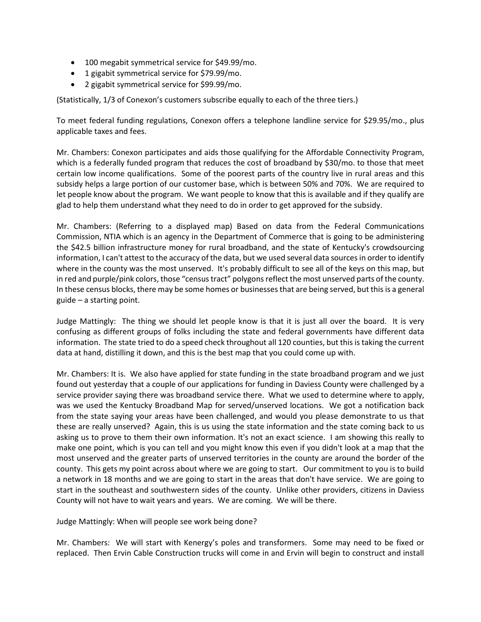- 100 megabit symmetrical service for \$49.99/mo.
- 1 gigabit symmetrical service for \$79.99/mo.
- 2 gigabit symmetrical service for \$99.99/mo.

(Statistically, 1/3 of Conexon's customers subscribe equally to each of the three tiers.)

To meet federal funding regulations, Conexon offers a telephone landline service for \$29.95/mo., plus applicable taxes and fees.

Mr. Chambers: Conexon participates and aids those qualifying for the Affordable Connectivity Program, which is a federally funded program that reduces the cost of broadband by \$30/mo. to those that meet certain low income qualifications. Some of the poorest parts of the country live in rural areas and this subsidy helps a large portion of our customer base, which is between 50% and 70%. We are required to let people know about the program. We want people to know that this is available and if they qualify are glad to help them understand what they need to do in order to get approved for the subsidy.

Mr. Chambers: (Referring to a displayed map) Based on data from the Federal Communications Commission, NTIA which is an agency in the Department of Commerce that is going to be administering the \$42.5 billion infrastructure money for rural broadband, and the state of Kentucky's crowdsourcing information, I can't attest to the accuracy of the data, but we used several data sources in order to identify where in the county was the most unserved. It's probably difficult to see all of the keys on this map, but in red and purple/pink colors, those "census tract" polygons reflect the most unserved parts of the county. In these census blocks, there may be some homes or businesses that are being served, but this is a general guide – a starting point.

Judge Mattingly: The thing we should let people know is that it is just all over the board. It is very confusing as different groups of folks including the state and federal governments have different data information. The state tried to do a speed check throughout all 120 counties, but this is taking the current data at hand, distilling it down, and this is the best map that you could come up with.

Mr. Chambers: It is. We also have applied for state funding in the state broadband program and we just found out yesterday that a couple of our applications for funding in Daviess County were challenged by a service provider saying there was broadband service there. What we used to determine where to apply, was we used the Kentucky Broadband Map for served/unserved locations. We got a notification back from the state saying your areas have been challenged, and would you please demonstrate to us that these are really unserved? Again, this is us using the state information and the state coming back to us asking us to prove to them their own information. It's not an exact science. I am showing this really to make one point, which is you can tell and you might know this even if you didn't look at a map that the most unserved and the greater parts of unserved territories in the county are around the border of the county. This gets my point across about where we are going to start. Our commitment to you is to build a network in 18 months and we are going to start in the areas that don't have service. We are going to start in the southeast and southwestern sides of the county. Unlike other providers, citizens in Daviess County will not have to wait years and years. We are coming. We will be there.

Judge Mattingly: When will people see work being done?

Mr. Chambers: We will start with Kenergy's poles and transformers. Some may need to be fixed or replaced. Then Ervin Cable Construction trucks will come in and Ervin will begin to construct and install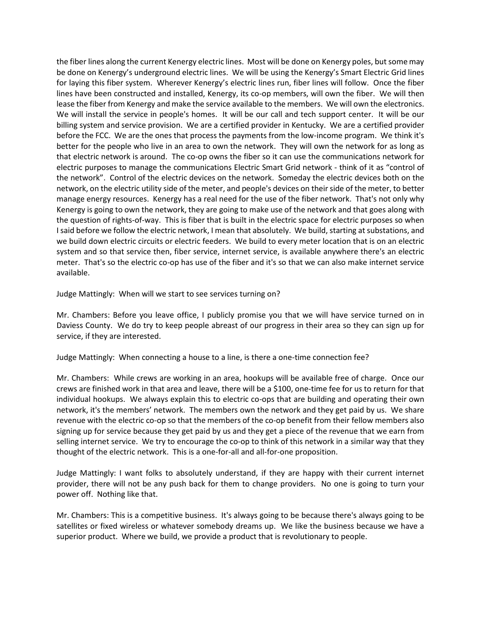the fiber lines along the current Kenergy electric lines. Most will be done on Kenergy poles, but some may be done on Kenergy's underground electric lines. We will be using the Kenergy's Smart Electric Grid lines for laying this fiber system. Wherever Kenergy's electric lines run, fiber lines will follow. Once the fiber lines have been constructed and installed, Kenergy, its co-op members, will own the fiber. We will then lease the fiber from Kenergy and make the service available to the members. We will own the electronics. We will install the service in people's homes. It will be our call and tech support center. It will be our billing system and service provision. We are a certified provider in Kentucky. We are a certified provider before the FCC. We are the ones that process the payments from the low-income program. We think it's better for the people who live in an area to own the network. They will own the network for as long as that electric network is around. The co-op owns the fiber so it can use the communications network for electric purposes to manage the communications Electric Smart Grid network - think of it as "control of the network". Control of the electric devices on the network. Someday the electric devices both on the network, on the electric utility side of the meter, and people's devices on their side of the meter, to better manage energy resources. Kenergy has a real need for the use of the fiber network. That's not only why Kenergy is going to own the network, they are going to make use of the network and that goes along with the question of rights-of-way. This is fiber that is built in the electric space for electric purposes so when I said before we follow the electric network, I mean that absolutely. We build, starting at substations, and we build down electric circuits or electric feeders. We build to every meter location that is on an electric system and so that service then, fiber service, internet service, is available anywhere there's an electric meter. That's so the electric co-op has use of the fiber and it's so that we can also make internet service available.

Judge Mattingly: When will we start to see services turning on?

Mr. Chambers: Before you leave office, I publicly promise you that we will have service turned on in Daviess County. We do try to keep people abreast of our progress in their area so they can sign up for service, if they are interested.

Judge Mattingly: When connecting a house to a line, is there a one-time connection fee?

Mr. Chambers: While crews are working in an area, hookups will be available free of charge. Once our crews are finished work in that area and leave, there will be a \$100, one-time fee for us to return for that individual hookups. We always explain this to electric co-ops that are building and operating their own network, it's the members' network. The members own the network and they get paid by us. We share revenue with the electric co-op so that the members of the co-op benefit from their fellow members also signing up for service because they get paid by us and they get a piece of the revenue that we earn from selling internet service. We try to encourage the co-op to think of this network in a similar way that they thought of the electric network. This is a one-for-all and all-for-one proposition.

Judge Mattingly: I want folks to absolutely understand, if they are happy with their current internet provider, there will not be any push back for them to change providers. No one is going to turn your power off. Nothing like that.

Mr. Chambers: This is a competitive business. It's always going to be because there's always going to be satellites or fixed wireless or whatever somebody dreams up. We like the business because we have a superior product. Where we build, we provide a product that is revolutionary to people.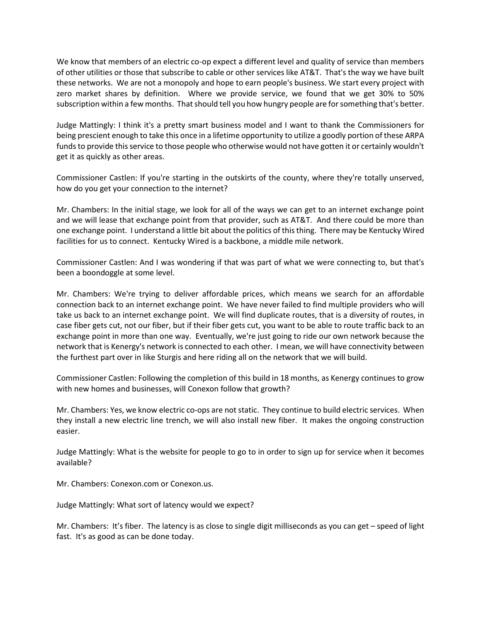We know that members of an electric co-op expect a different level and quality of service than members of other utilities or those that subscribe to cable or other services like AT&T. That's the way we have built these networks. We are not a monopoly and hope to earn people's business. We start every project with zero market shares by definition. Where we provide service, we found that we get 30% to 50% subscription within a few months. That should tell you how hungry people are for something that's better.

Judge Mattingly: I think it's a pretty smart business model and I want to thank the Commissioners for being prescient enough to take this once in a lifetime opportunity to utilize a goodly portion of these ARPA funds to provide this service to those people who otherwise would not have gotten it or certainly wouldn't get it as quickly as other areas.

Commissioner Castlen: If you're starting in the outskirts of the county, where they're totally unserved, how do you get your connection to the internet?

Mr. Chambers: In the initial stage, we look for all of the ways we can get to an internet exchange point and we will lease that exchange point from that provider, such as AT&T. And there could be more than one exchange point. I understand a little bit about the politics of this thing. There may be Kentucky Wired facilities for us to connect. Kentucky Wired is a backbone, a middle mile network.

Commissioner Castlen: And I was wondering if that was part of what we were connecting to, but that's been a boondoggle at some level.

Mr. Chambers: We're trying to deliver affordable prices, which means we search for an affordable connection back to an internet exchange point. We have never failed to find multiple providers who will take us back to an internet exchange point. We will find duplicate routes, that is a diversity of routes, in case fiber gets cut, not our fiber, but if their fiber gets cut, you want to be able to route traffic back to an exchange point in more than one way. Eventually, we're just going to ride our own network because the network that is Kenergy's network is connected to each other. I mean, we will have connectivity between the furthest part over in like Sturgis and here riding all on the network that we will build.

Commissioner Castlen: Following the completion of this build in 18 months, as Kenergy continues to grow with new homes and businesses, will Conexon follow that growth?

Mr. Chambers: Yes, we know electric co-ops are not static. They continue to build electric services. When they install a new electric line trench, we will also install new fiber. It makes the ongoing construction easier.

Judge Mattingly: What is the website for people to go to in order to sign up for service when it becomes available?

Mr. Chambers: Conexon.com or Conexon.us.

Judge Mattingly: What sort of latency would we expect?

Mr. Chambers: It's fiber. The latency is as close to single digit milliseconds as you can get – speed of light fast. It's as good as can be done today.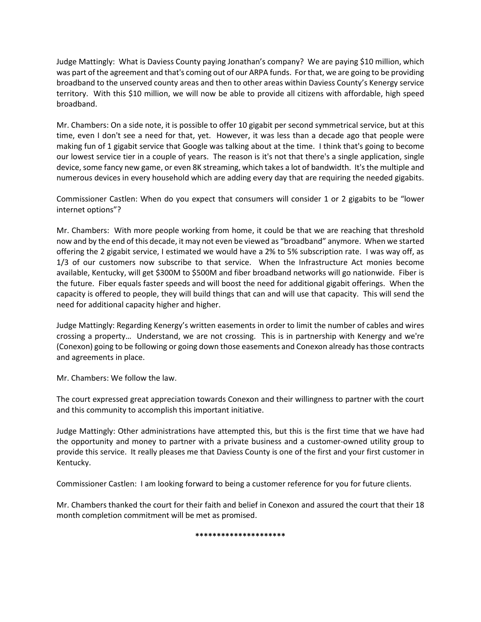Judge Mattingly: What is Daviess County paying Jonathan's company? We are paying \$10 million, which was part of the agreement and that's coming out of our ARPA funds. For that, we are going to be providing broadband to the unserved county areas and then to other areas within Daviess County's Kenergy service territory. With this \$10 million, we will now be able to provide all citizens with affordable, high speed broadband.

Mr. Chambers: On a side note, it is possible to offer 10 gigabit per second symmetrical service, but at this time, even I don't see a need for that, yet. However, it was less than a decade ago that people were making fun of 1 gigabit service that Google was talking about at the time. I think that's going to become our lowest service tier in a couple of years. The reason is it's not that there's a single application, single device, some fancy new game, or even 8K streaming, which takes a lot of bandwidth. It's the multiple and numerous devices in every household which are adding every day that are requiring the needed gigabits.

Commissioner Castlen: When do you expect that consumers will consider 1 or 2 gigabits to be "lower internet options"?

Mr. Chambers: With more people working from home, it could be that we are reaching that threshold now and by the end of this decade, it may not even be viewed as "broadband" anymore. When we started offering the 2 gigabit service, I estimated we would have a 2% to 5% subscription rate. I was way off, as 1/3 of our customers now subscribe to that service. When the Infrastructure Act monies become available, Kentucky, will get \$300M to \$500M and fiber broadband networks will go nationwide. Fiber is the future. Fiber equals faster speeds and will boost the need for additional gigabit offerings. When the capacity is offered to people, they will build things that can and will use that capacity. This will send the need for additional capacity higher and higher.

Judge Mattingly: Regarding Kenergy's written easements in order to limit the number of cables and wires crossing a property… Understand, we are not crossing. This is in partnership with Kenergy and we're (Conexon) going to be following or going down those easements and Conexon already has those contracts and agreements in place.

Mr. Chambers: We follow the law.

The court expressed great appreciation towards Conexon and their willingness to partner with the court and this community to accomplish this important initiative.

Judge Mattingly: Other administrations have attempted this, but this is the first time that we have had the opportunity and money to partner with a private business and a customer-owned utility group to provide this service. It really pleases me that Daviess County is one of the first and your first customer in Kentucky.

Commissioner Castlen: I am looking forward to being a customer reference for you for future clients.

Mr. Chambers thanked the court for their faith and belief in Conexon and assured the court that their 18 month completion commitment will be met as promised.

**\*\*\*\*\*\*\*\*\*\*\*\*\*\*\*\*\*\*\*\*\***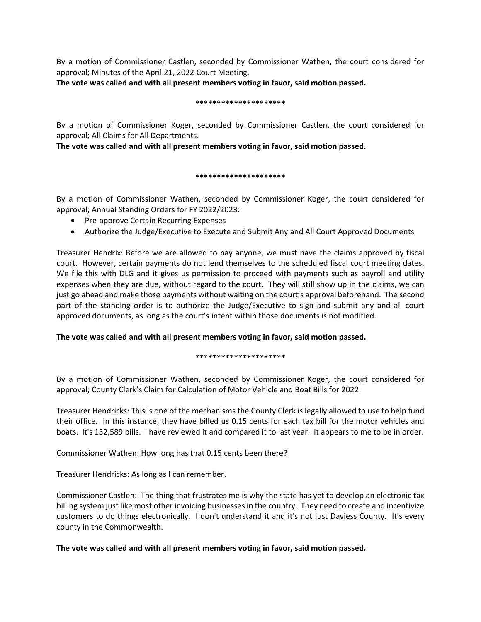By a motion of Commissioner Castlen, seconded by Commissioner Wathen, the court considered for approval; Minutes of the April 21, 2022 Court Meeting.

**The vote was called and with all present members voting in favor, said motion passed.** 

#### **\*\*\*\*\*\*\*\*\*\*\*\*\*\*\*\*\*\*\*\*\***

By a motion of Commissioner Koger, seconded by Commissioner Castlen, the court considered for approval; All Claims for All Departments.

**The vote was called and with all present members voting in favor, said motion passed.** 

# **\*\*\*\*\*\*\*\*\*\*\*\*\*\*\*\*\*\*\*\*\***

By a motion of Commissioner Wathen, seconded by Commissioner Koger, the court considered for approval; Annual Standing Orders for FY 2022/2023:

- Pre-approve Certain Recurring Expenses
- Authorize the Judge/Executive to Execute and Submit Any and All Court Approved Documents

Treasurer Hendrix: Before we are allowed to pay anyone, we must have the claims approved by fiscal court. However, certain payments do not lend themselves to the scheduled fiscal court meeting dates. We file this with DLG and it gives us permission to proceed with payments such as payroll and utility expenses when they are due, without regard to the court. They will still show up in the claims, we can just go ahead and make those payments without waiting on the court's approval beforehand. The second part of the standing order is to authorize the Judge/Executive to sign and submit any and all court approved documents, as long as the court's intent within those documents is not modified.

# **The vote was called and with all present members voting in favor, said motion passed.**

# **\*\*\*\*\*\*\*\*\*\*\*\*\*\*\*\*\*\*\*\*\***

By a motion of Commissioner Wathen, seconded by Commissioner Koger, the court considered for approval; County Clerk's Claim for Calculation of Motor Vehicle and Boat Bills for 2022.

Treasurer Hendricks: This is one of the mechanisms the County Clerk is legally allowed to use to help fund their office. In this instance, they have billed us 0.15 cents for each tax bill for the motor vehicles and boats. It's 132,589 bills. I have reviewed it and compared it to last year. It appears to me to be in order.

Commissioner Wathen: How long has that 0.15 cents been there?

Treasurer Hendricks: As long as I can remember.

Commissioner Castlen: The thing that frustrates me is why the state has yet to develop an electronic tax billing system just like most other invoicing businesses in the country. They need to create and incentivize customers to do things electronically. I don't understand it and it's not just Daviess County. It's every county in the Commonwealth.

**The vote was called and with all present members voting in favor, said motion passed.**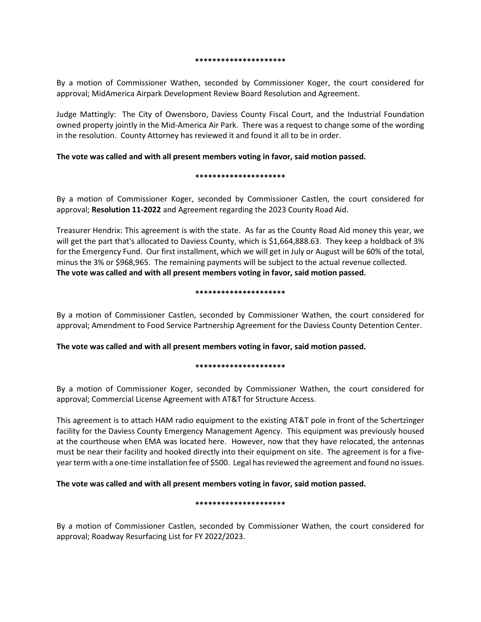#### **\*\*\*\*\*\*\*\*\*\*\*\*\*\*\*\*\*\*\*\*\***

By a motion of Commissioner Wathen, seconded by Commissioner Koger, the court considered for approval; MidAmerica Airpark Development Review Board Resolution and Agreement.

Judge Mattingly: The City of Owensboro, Daviess County Fiscal Court, and the Industrial Foundation owned property jointly in the Mid-America Air Park. There was a request to change some of the wording in the resolution. County Attorney has reviewed it and found it all to be in order.

# **The vote was called and with all present members voting in favor, said motion passed.**

#### **\*\*\*\*\*\*\*\*\*\*\*\*\*\*\*\*\*\*\*\*\***

By a motion of Commissioner Koger, seconded by Commissioner Castlen, the court considered for approval; **Resolution 11-2022** and Agreement regarding the 2023 County Road Aid.

Treasurer Hendrix: This agreement is with the state. As far as the County Road Aid money this year, we will get the part that's allocated to Daviess County, which is \$1,664,888.63. They keep a holdback of 3% for the Emergency Fund. Our first installment, which we will get in July or August will be 60% of the total, minus the 3% or \$968,965. The remaining payments will be subject to the actual revenue collected. **The vote was called and with all present members voting in favor, said motion passed.**

#### **\*\*\*\*\*\*\*\*\*\*\*\*\*\*\*\*\*\*\*\*\***

By a motion of Commissioner Castlen, seconded by Commissioner Wathen, the court considered for approval; Amendment to Food Service Partnership Agreement for the Daviess County Detention Center.

**The vote was called and with all present members voting in favor, said motion passed.**

# **\*\*\*\*\*\*\*\*\*\*\*\*\*\*\*\*\*\*\*\*\***

By a motion of Commissioner Koger, seconded by Commissioner Wathen, the court considered for approval; Commercial License Agreement with AT&T for Structure Access.

This agreement is to attach HAM radio equipment to the existing AT&T pole in front of the Schertzinger facility for the Daviess County Emergency Management Agency. This equipment was previously housed at the courthouse when EMA was located here. However, now that they have relocated, the antennas must be near their facility and hooked directly into their equipment on site. The agreement is for a fiveyear term with a one-time installation fee of \$500. Legal has reviewed the agreement and found no issues.

# **The vote was called and with all present members voting in favor, said motion passed.**

# **\*\*\*\*\*\*\*\*\*\*\*\*\*\*\*\*\*\*\*\*\***

By a motion of Commissioner Castlen, seconded by Commissioner Wathen, the court considered for approval; Roadway Resurfacing List for FY 2022/2023.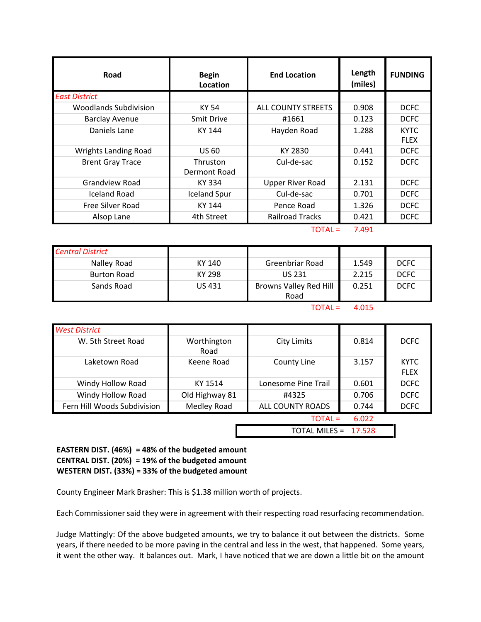| Road                        | <b>Begin</b><br>Location | <b>End Location</b>     | Length<br>(miles) | <b>FUNDING</b>             |
|-----------------------------|--------------------------|-------------------------|-------------------|----------------------------|
| <b>East District</b>        |                          |                         |                   |                            |
| Woodlands Subdivision       | KY 54                    | ALL COUNTY STREETS      | 0.908             | <b>DCFC</b>                |
| <b>Barclay Avenue</b>       | <b>Smit Drive</b>        | #1661                   | 0.123             | <b>DCFC</b>                |
| Daniels Lane                | KY 144                   | Hayden Road             | 1.288             | <b>KYTC</b><br><b>FLEX</b> |
| <b>Wrights Landing Road</b> | <b>US 60</b>             | KY 2830                 | 0.441             | <b>DCFC</b>                |
| <b>Brent Gray Trace</b>     | Thruston<br>Dermont Road | Cul-de-sac              | 0.152             | <b>DCFC</b>                |
| <b>Grandview Road</b>       | KY 334                   | <b>Upper River Road</b> | 2.131             | <b>DCFC</b>                |
| Iceland Road                | <b>Iceland Spur</b>      | Cul-de-sac              | 0.701             | <b>DCFC</b>                |
| Free Silver Road            | KY 144                   | Pence Road              | 1.326             | <b>DCFC</b>                |
| Alsop Lane                  | 4th Street               | <b>Railroad Tracks</b>  | 0.421             | <b>DCFC</b>                |

 $TOTAL = 7.491$ 

| <b>Central District</b> |        |                                |       |             |
|-------------------------|--------|--------------------------------|-------|-------------|
| Nalley Road             | KY 140 | Greenbriar Road                | 1.549 | <b>DCFC</b> |
| <b>Burton Road</b>      | KY 298 | <b>US 231</b>                  | 2.215 | <b>DCFC</b> |
| Sands Road              | US 431 | Browns Valley Red Hill<br>Road | 0.251 | <b>DCFC</b> |

 $TOTAL = 4.015$ 

| <b>West District</b>        |                      |                     |       |                            |
|-----------------------------|----------------------|---------------------|-------|----------------------------|
| W. 5th Street Road          | Worthington<br>Road  | <b>City Limits</b>  | 0.814 | <b>DCFC</b>                |
| Laketown Road               | Keene Road           | County Line         | 3.157 | <b>KYTC</b><br><b>FLEX</b> |
| Windy Hollow Road           | KY 1514              | Lonesome Pine Trail | 0.601 | <b>DCFC</b>                |
| Windy Hollow Road           | Old Highway 81       | #4325               | 0.706 | <b>DCFC</b>                |
| Fern Hill Woods Subdivision | Medley Road          | ALL COUNTY ROADS    | 0.744 | <b>DCFC</b>                |
|                             | TOTAL =<br>6.022     |                     |       |                            |
|                             | TOTAL MILES = 17.528 |                     |       |                            |

**EASTERN DIST. (46%) = 48% of the budgeted amount CENTRAL DIST. (20%) = 19% of the budgeted amount WESTERN DIST. (33%) = 33% of the budgeted amount**

County Engineer Mark Brasher: This is \$1.38 million worth of projects.

Each Commissioner said they were in agreement with their respecting road resurfacing recommendation.

Judge Mattingly: Of the above budgeted amounts, we try to balance it out between the districts. Some years, if there needed to be more paving in the central and less in the west, that happened. Some years, it went the other way. It balances out. Mark, I have noticed that we are down a little bit on the amount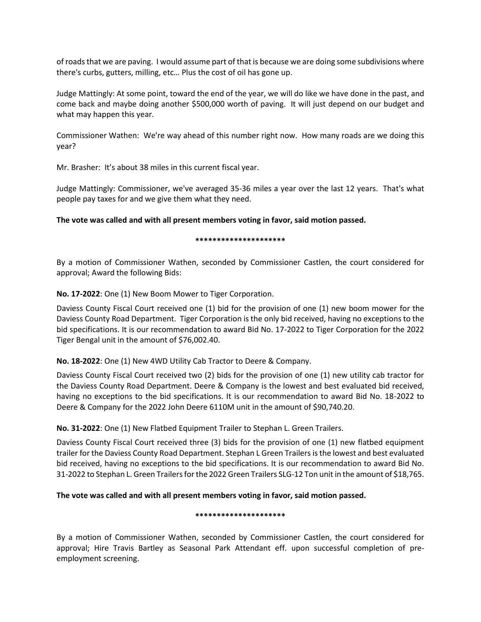of roads that we are paving. I would assume part of that is because we are doing some subdivisions where there's curbs, gutters, milling, etc… Plus the cost of oil has gone up.

Judge Mattingly: At some point, toward the end of the year, we will do like we have done in the past, and come back and maybe doing another \$500,000 worth of paving. It will just depend on our budget and what may happen this year.

Commissioner Wathen: We're way ahead of this number right now. How many roads are we doing this year?

Mr. Brasher: It's about 38 miles in this current fiscal year.

Judge Mattingly: Commissioner, we've averaged 35-36 miles a year over the last 12 years. That's what people pay taxes for and we give them what they need.

**The vote was called and with all present members voting in favor, said motion passed.**

#### **\*\*\*\*\*\*\*\*\*\*\*\*\*\*\*\*\*\*\*\*\***

By a motion of Commissioner Wathen, seconded by Commissioner Castlen, the court considered for approval; Award the following Bids:

**No. 17-2022**: One (1) New Boom Mower to Tiger Corporation.

Daviess County Fiscal Court received one (1) bid for the provision of one (1) new boom mower for the Daviess County Road Department. Tiger Corporation is the only bid received, having no exceptions to the bid specifications. It is our recommendation to award Bid No. 17-2022 to Tiger Corporation for the 2022 Tiger Bengal unit in the amount of \$76,002.40.

# **No. 18-2022**: One (1) New 4WD Utility Cab Tractor to Deere & Company.

Daviess County Fiscal Court received two (2) bids for the provision of one (1) new utility cab tractor for the Daviess County Road Department. Deere & Company is the lowest and best evaluated bid received, having no exceptions to the bid specifications. It is our recommendation to award Bid No. 18-2022 to Deere & Company for the 2022 John Deere 6110M unit in the amount of \$90,740.20.

**No. 31-2022**: One (1) New Flatbed Equipment Trailer to Stephan L. Green Trailers.

Daviess County Fiscal Court received three (3) bids for the provision of one (1) new flatbed equipment trailer for the Daviess County Road Department. Stephan L Green Trailers is the lowest and best evaluated bid received, having no exceptions to the bid specifications. It is our recommendation to award Bid No. 31-2022 to Stephan L. Green Trailers for the 2022 Green Trailers SLG-12 Ton unit in the amount of \$18,765.

# **The vote was called and with all present members voting in favor, said motion passed.**

# **\*\*\*\*\*\*\*\*\*\*\*\*\*\*\*\*\*\*\*\*\***

By a motion of Commissioner Wathen, seconded by Commissioner Castlen, the court considered for approval; Hire Travis Bartley as Seasonal Park Attendant eff. upon successful completion of preemployment screening.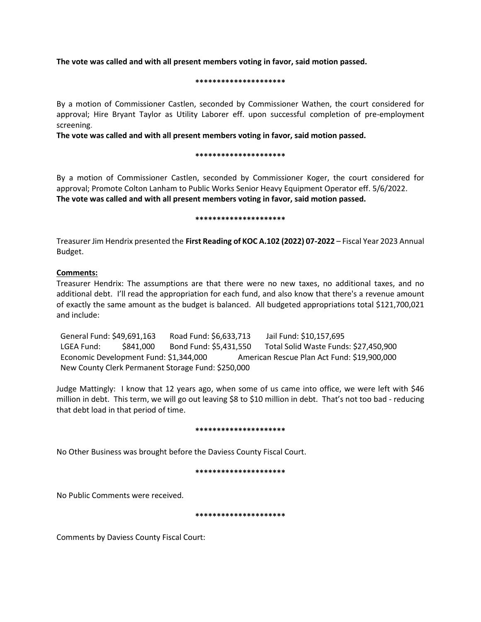**The vote was called and with all present members voting in favor, said motion passed.**

#### **\*\*\*\*\*\*\*\*\*\*\*\*\*\*\*\*\*\*\*\*\***

By a motion of Commissioner Castlen, seconded by Commissioner Wathen, the court considered for approval; Hire Bryant Taylor as Utility Laborer eff. upon successful completion of pre-employment screening.

**The vote was called and with all present members voting in favor, said motion passed.**

#### **\*\*\*\*\*\*\*\*\*\*\*\*\*\*\*\*\*\*\*\*\***

By a motion of Commissioner Castlen, seconded by Commissioner Koger, the court considered for approval; Promote Colton Lanham to Public Works Senior Heavy Equipment Operator eff. 5/6/2022. **The vote was called and with all present members voting in favor, said motion passed.**

#### **\*\*\*\*\*\*\*\*\*\*\*\*\*\*\*\*\*\*\*\*\***

Treasurer Jim Hendrix presented the **First Reading of KOC A.102 (2022) 07-2022** – Fiscal Year 2023 Annual Budget.

# **Comments:**

Treasurer Hendrix: The assumptions are that there were no new taxes, no additional taxes, and no additional debt. I'll read the appropriation for each fund, and also know that there's a revenue amount of exactly the same amount as the budget is balanced. All budgeted appropriations total \$121,700,021 and include:

 General Fund: \$49,691,163 Road Fund: \$6,633,713 Jail Fund: \$10,157,695 LGEA Fund: \$841,000 Bond Fund: \$5,431,550 Total Solid Waste Funds: \$27,450,900 Economic Development Fund: \$1,344,000 American Rescue Plan Act Fund: \$19,900,000 New County Clerk Permanent Storage Fund: \$250,000

Judge Mattingly: I know that 12 years ago, when some of us came into office, we were left with \$46 million in debt. This term, we will go out leaving \$8 to \$10 million in debt. That's not too bad - reducing that debt load in that period of time.

#### **\*\*\*\*\*\*\*\*\*\*\*\*\*\*\*\*\*\*\*\*\***

No Other Business was brought before the Daviess County Fiscal Court.

#### **\*\*\*\*\*\*\*\*\*\*\*\*\*\*\*\*\*\*\*\*\***

No Public Comments were received.

#### **\*\*\*\*\*\*\*\*\*\*\*\*\*\*\*\*\*\*\*\*\***

Comments by Daviess County Fiscal Court: